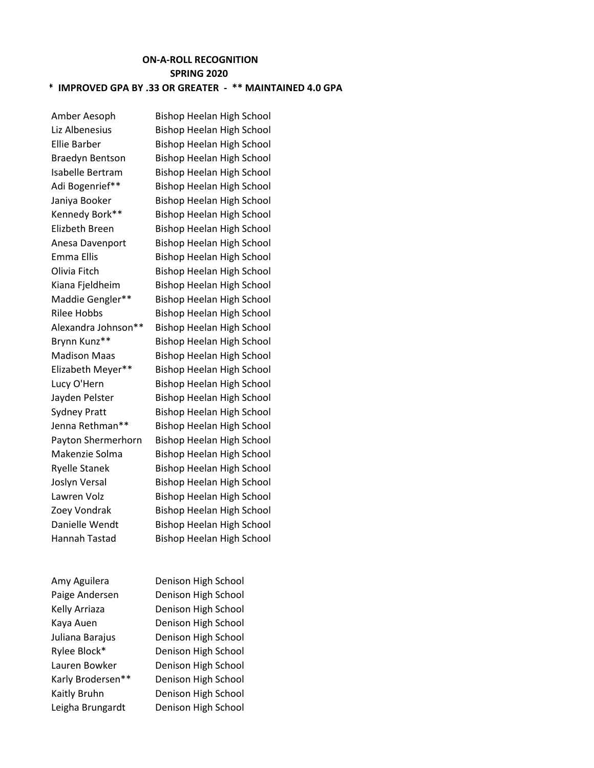## **ON-A-ROLL RECOGNITION SPRING 2020 \* IMPROVED GPA BY .33 OR GREATER - \*\* MAINTAINED 4.0 GPA**

Amy Aguilera Denison High School Leigha Brungardt Denison High School

Amber Aesoph Bishop Heelan High School Liz Albenesius Bishop Heelan High School Ellie Barber Bishop Heelan High School Braedyn Bentson Bishop Heelan High School Isabelle Bertram Bishop Heelan High School Adi Bogenrief\*\* Bishop Heelan High School Janiya Booker Bishop Heelan High School Kennedy Bork\*\* Bishop Heelan High School Elizbeth Breen Bishop Heelan High School Anesa Davenport Bishop Heelan High School Emma Ellis Bishop Heelan High School Olivia Fitch Bishop Heelan High School Kiana Fjeldheim Bishop Heelan High School Maddie Gengler\*\* Bishop Heelan High School Rilee Hobbs Bishop Heelan High School Alexandra Johnson\*\* Bishop Heelan High School Brynn Kunz\*\* Bishop Heelan High School Madison Maas Bishop Heelan High School Elizabeth Meyer\*\* Bishop Heelan High School Lucy O'Hern Bishop Heelan High School Jayden Pelster Bishop Heelan High School Sydney Pratt Bishop Heelan High School Jenna Rethman\*\* Bishop Heelan High School Payton Shermerhorn Bishop Heelan High School Makenzie Solma Bishop Heelan High School Ryelle Stanek Bishop Heelan High School Joslyn Versal Bishop Heelan High School Lawren Volz Bishop Heelan High School Zoey Vondrak Bishop Heelan High School Danielle Wendt Bishop Heelan High School Hannah Tastad Bishop Heelan High School

Paige Andersen Denison High School Kelly Arriaza Denison High School Kaya Auen Denison High School Juliana Barajus Denison High School Rylee Block\* Denison High School Lauren Bowker Denison High School Karly Brodersen\*\* Denison High School Kaitly Bruhn Denison High School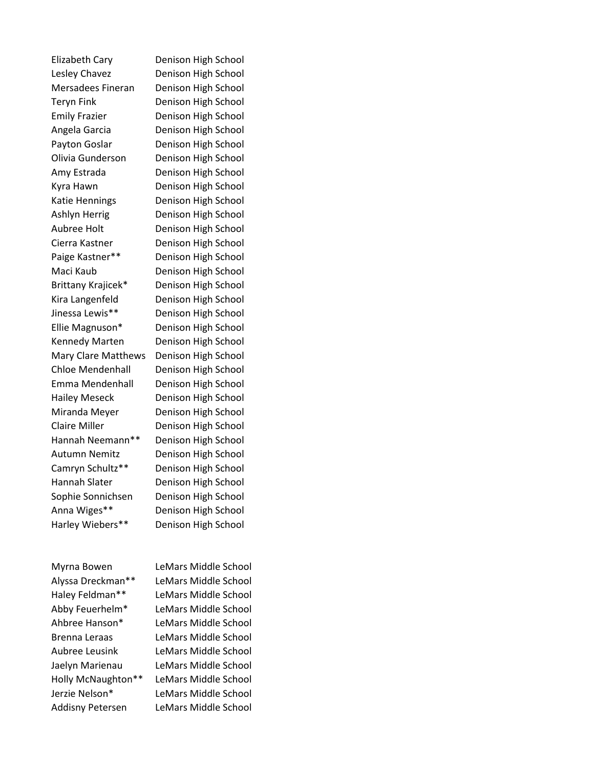Denison High School Denison High School Denison High School Denison High School Denison High School Denison High School Denison High School Denison High School Denison High School Denison High School Denison High School Denison High School Denison High School Denison High School Denison High School Denison High School Denison High School Denison High School Denison High School Denison High School Denison High School Denison High School Denison High School Denison High School Denison High School Denison High School Denison High School Denison High School Denison High School Denison High School Denison High School Denison High School Denison High School Denison High School

Addisny Petersen LeMars Middle School

Myrna Bowen LeMars Middle School Alyssa Dreckman\*\* LeMars Middle School Haley Feldman\*\* LeMars Middle School Abby Feuerhelm\* LeMars Middle School Ahbree Hanson\* LeMars Middle School Brenna Leraas LeMars Middle School Aubree Leusink LeMars Middle School Jaelyn Marienau LeMars Middle School Holly McNaughton\*\* LeMars Middle School Jerzie Nelson\* LeMars Middle School